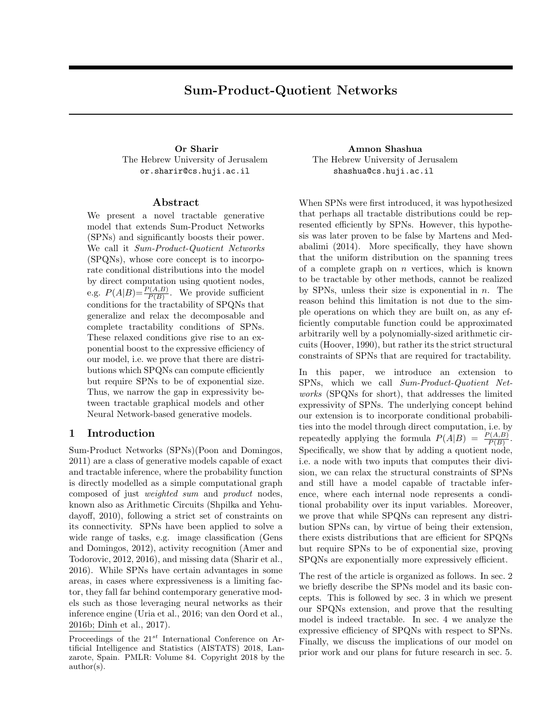# Sum-Product-Quotient Networks

<span id="page-0-3"></span><span id="page-0-2"></span><span id="page-0-1"></span>The Hebrew University of Jerusalem or.sharir@cs.huji.ac.il

# Abstract

We present a novel tractable generative model that extends Sum-Product Networks (SPNs) and significantly boosts their power. We call it *Sum-Product-Quotient Networks* (SPQNs), whose core concept is to incorporate conditional distributions into the model by direct computation using quotient nodes, e.g.  $P(A|B) = \frac{P(A,B)}{P(B)}$ . We provide sufficient conditions for the tractability of SPQNs that generalize and relax the decomposable and complete tractability conditions of SPNs. These relaxed conditions give rise to an exponential boost to the expressive efficiency of our model, i.e. we prove that there are distributions which SPQNs can compute efficiently but require SPNs to be of exponential size. Thus, we narrow the gap in expressivity between tractable graphical models and other Neural Network-based generative models.

## <span id="page-0-6"></span><span id="page-0-0"></span>1 Introduction

Sum-Product Networks (SPNs)[\(Poon and Domingos,](#page-8-0) [2011\)](#page-8-0) are a class of generative models capable of exact and tractable inference, where the probability function is directly modelled as a simple computational graph composed of just *weighted sum* and *product* nodes, known also as Arithmetic Circuits [\(Shpilka and Yehu](#page-8-1)[dayo](#page-8-1)ff, [2010\)](#page-8-1), following a strict set of constraints on its connectivity. SPNs have been applied to solve a wide range of tasks, e.g. image classification [\(Gens](#page-8-2) [and Domingos, 2012\)](#page-8-2), activity recognition [\(Amer and](#page-8-3) [Todorovic, 2012,](#page-8-3) [2016\)](#page-8-4), and missing data [\(Sharir et al.,](#page-8-5) [2016\)](#page-8-5). While SPNs have certain advantages in some areas, in cases where expressiveness is a limiting factor, they fall far behind contemporary generative models such as those leveraging neural networks as their inference engine [\(Uria et al., 2016;](#page-8-6) [van den Oord et al.,](#page-8-7) [2016b;](#page-8-7) [Dinh et al., 2017\)](#page-8-8).

<span id="page-0-5"></span>Proceedings of the 21*st* International Conference on Artificial Intelligence and Statistics (AISTATS) 2018, Lanzarote, Spain. PMLR: Volume 84. Copyright 2018 by the author(s).

Or Sharir Amnon Shashua The Hebrew University of Jerusalem shashua@cs.huji.ac.il

> <span id="page-0-4"></span>When SPNs were first introduced, it was hypothesized that perhaps all tractable distributions could be represented efficiently by SPNs. However, this hypothesis was later proven to be false by [Martens and Med](#page-8-9)[abalimi](#page-8-9) [\(2014\)](#page-8-9). More specifically, they have shown that the uniform distribution on the spanning trees of a complete graph on *n* vertices, which is known to be tractable by other methods, cannot be realized by SPNs, unless their size is exponential in *n*. The reason behind this limitation is not due to the simple operations on which they are built on, as any efficiently computable function could be approximated arbitrarily well by a polynomially-sized arithmetic circuits [\(Hoover, 1990\)](#page-8-10), but rather its the strict structural constraints of SPNs that are required for tractability.

> In this paper, we introduce an extension to SPNs, which we call *Sum-Product-Quotient Networks* (SPQNs for short), that addresses the limited expressivity of SPNs. The underlying concept behind our extension is to incorporate conditional probabilities into the model through direct computation, i.e. by repeatedly applying the formula  $P(A|B) = \frac{P(A,B)}{P(B)}$ . Specifically, we show that by adding a quotient node, i.e. a node with two inputs that computes their division, we can relax the structural constraints of SPNs and still have a model capable of tractable inference, where each internal node represents a conditional probability over its input variables. Moreover, we prove that while SPQNs can represent any distribution SPNs can, by virtue of being their extension, there exists distributions that are efficient for SPQNs but require SPNs to be of exponential size, proving SPQNs are exponentially more expressively efficient.

> The rest of the article is organized as follows. In sec. [2](#page-1-0) we briefly describe the SPNs model and its basic concepts. This is followed by sec. [3](#page-1-1) in which we present our SPQNs extension, and prove that the resulting model is indeed tractable. In sec. [4](#page-5-0) we analyze the expressive efficiency of SPQNs with respect to SPNs. Finally, we discuss the implications of our model on prior work and our plans for future research in sec. [5.](#page-6-0)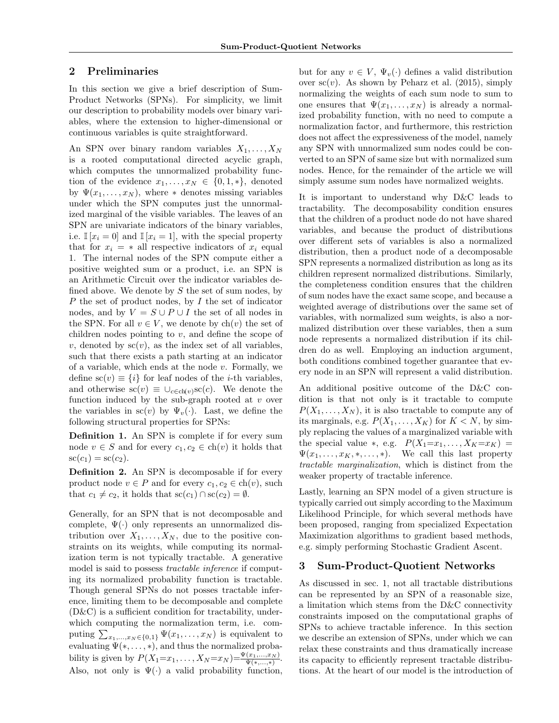## <span id="page-1-0"></span>2 Preliminaries

In this section we give a brief description of Sum-Product Networks (SPNs). For simplicity, we limit our description to probability models over binary variables, where the extension to higher-dimensional or continuous variables is quite straightforward.

An SPN over binary random variables *X*1*,...,X<sup>N</sup>* is a rooted computational directed acyclic graph, which computes the unnormalized probability function of the evidence  $x_1, \ldots, x_N \in \{0, 1, *\},\$  denoted by  $\Psi(x_1,\ldots,x_N)$ , where  $*$  denotes missing variables under which the SPN computes just the unnormalized marginal of the visible variables. The leaves of an SPN are univariate indicators of the binary variables, i.e.  $\mathbb{I}[x_i = 0]$  and  $\mathbb{I}[x_i = 1]$ , with the special property that for  $x_i = *$  all respective indicators of  $x_i$  equal 1. The internal nodes of the SPN compute either a positive weighted sum or a product, i.e. an SPN is an Arithmetic Circuit over the indicator variables defined above. We denote by *S* the set of sum nodes, by *P* the set of product nodes, by *I* the set of indicator nodes, and by  $V = S \cup P \cup I$  the set of all nodes in the SPN. For all  $v \in V$ , we denote by  $\text{ch}(v)$  the set of children nodes pointing to *v*, and define the scope of  $v$ , denoted by  $\operatorname{sc}(v)$ , as the index set of all variables, such that there exists a path starting at an indicator of a variable, which ends at the node *v*. Formally, we define  $\text{sc}(v) \equiv \{i\}$  for leaf nodes of the *i*-th variables, and otherwise  $\operatorname{sc}(v) \equiv \bigcup_{c \in \text{ch}(v)} \operatorname{sc}(c)$ . We denote the function induced by the sub-graph rooted at *v* over the variables in  $\operatorname{sc}(v)$  by  $\Psi_v(\cdot)$ . Last, we define the following structural properties for SPNs:

Definition 1. An SPN is complete if for every sum node  $v \in S$  and for every  $c_1, c_2 \in \text{ch}(v)$  it holds that  $\mathrm{sc}(c_1) = \mathrm{sc}(c_2).$ 

Definition 2. An SPN is decomposable if for every product node  $v \in P$  and for every  $c_1, c_2 \in ch(v)$ , such that  $c_1 \neq c_2$ , it holds that  $\operatorname{sc}(c_1) \cap \operatorname{sc}(c_2) = \emptyset$ .

Generally, for an SPN that is not decomposable and complete,  $\Psi(\cdot)$  only represents an unnormalized distribution over  $X_1, \ldots, X_N$ , due to the positive constraints on its weights, while computing its normalization term is not typically tractable. A generative model is said to possess *tractable inference* if computing its normalized probability function is tractable. Though general SPNs do not posses tractable inference, limiting them to be decomposable and complete  $(D&C)$  is a sufficient condition for tractability, underwhich computing the normalization term, i.e. computing  $\sum_{x_1,\dots,x_N \in \{0,1\}} \Psi(x_1,\dots,x_N)$  is equivalent to evaluating  $\Psi(*,\ldots,*)$ , and thus the normalized probability is given by  $P(X_1 = x_1, \ldots, X_N = x_N) = \frac{\Psi(x_1, \ldots, x_N)}{\Psi(x_1, \ldots, x)}$ . Also, not only is  $\Psi(\cdot)$  a valid probability function,

but for any  $v \in V$ ,  $\Psi_v(\cdot)$  defines a valid distribution over  $\operatorname{sc}(v)$ . As shown by [Peharz et al.](#page-8-11) [\(2015\)](#page-8-11), simply normalizing the weights of each sum node to sum to one ensures that  $\Psi(x_1, \ldots, x_N)$  is already a normalized probability function, with no need to compute a normalization factor, and furthermore, this restriction does not affect the expressiveness of the model, namely any SPN with unnormalized sum nodes could be converted to an SPN of same size but with normalized sum nodes. Hence, for the remainder of the article we will simply assume sum nodes have normalized weights.

It is important to understand why D&C leads to tractability. The decomposability condition ensures that the children of a product node do not have shared variables, and because the product of distributions over different sets of variables is also a normalized distribution, then a product node of a decomposable SPN represents a normalized distribution as long as its children represent normalized distributions. Similarly, the completeness condition ensures that the children of sum nodes have the exact same scope, and because a weighted average of distributions over the same set of variables, with normalized sum weights, is also a normalized distribution over these variables, then a sum node represents a normalized distribution if its children do as well. Employing an induction argument, both conditions combined together guarantee that every node in an SPN will represent a valid distribution.

An additional positive outcome of the D&C condition is that not only is it tractable to compute  $P(X_1, \ldots, X_N)$ , it is also tractable to compute any of its marginals, e.g.  $P(X_1, \ldots, X_K)$  for  $K < N$ , by simply replacing the values of a marginalized variable with the special value  $\ast$ , e.g.  $P(X_1=x_1,\ldots,X_K=x_K)$  =  $\Psi(x_1,\ldots,x_K,\ast,\ldots,\ast)$ . We call this last property *tractable marginalization*, which is distinct from the weaker property of tractable inference.

Lastly, learning an SPN model of a given structure is typically carried out simply according to the Maximum Likelihood Principle, for which several methods have been proposed, ranging from specialized Expectation Maximization algorithms to gradient based methods, e.g. simply performing Stochastic Gradient Ascent.

## <span id="page-1-1"></span>3 Sum-Product-Quotient Networks

As discussed in sec. [1,](#page-0-0) not all tractable distributions can be represented by an SPN of a reasonable size, a limitation which stems from the D&C connectivity constraints imposed on the computational graphs of SPNs to achieve tractable inference. In this section we describe an extension of SPNs, under which we can relax these constraints and thus dramatically increase its capacity to efficiently represent tractable distributions. At the heart of our model is the introduction of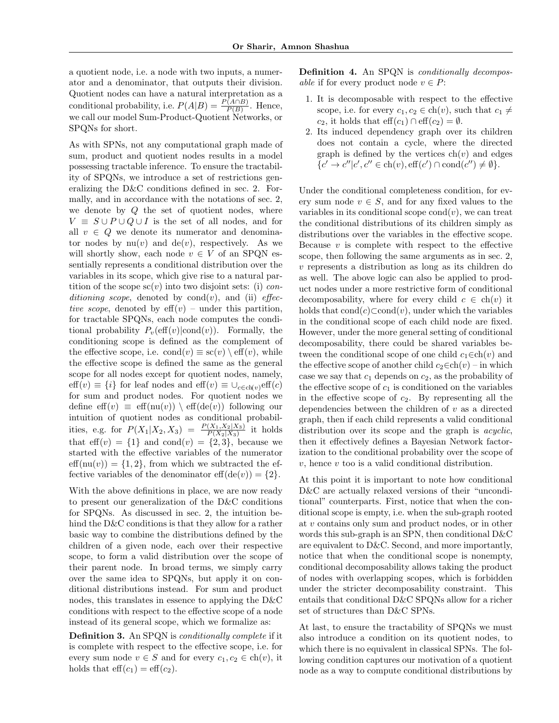a quotient node, i.e. a node with two inputs, a numerator and a denominator, that outputs their division. Quotient nodes can have a natural interpretation as a conditional probability, i.e.  $P(A|B) = \frac{P(A \cap B)}{P(B)}$ . Hence, we call our model Sum-Product-Quotient Networks, or SPQNs for short.

As with SPNs, not any computational graph made of sum, product and quotient nodes results in a model possessing tractable inference. To ensure the tractability of SPQNs, we introduce a set of restrictions generalizing the D&C conditions defined in sec. [2.](#page-1-0) Formally, and in accordance with the notations of sec. [2,](#page-1-0) we denote by *Q* the set of quotient nodes, where  $V \equiv S \cup P \cup Q \cup I$  is the set of all nodes, and for all  $v \in Q$  we denote its numerator and denominator nodes by  $nu(v)$  and  $de(v)$ , respectively. As we will shortly show, each node  $v \in V$  of an SPQN essentially represents a conditional distribution over the variables in its scope, which give rise to a natural partition of the scope  $\mathrm{sc}(v)$  into two disjoint sets: (i) *con* $ditioning scope, denoted by  $cond(v)$ , and (ii) *effec*$ *tive scope*, denoted by  $\text{eff}(v)$  – under this partition, for tractable SPQNs, each node computes the conditional probability  $P_v(\text{eff}(v)|\text{cond}(v))$ . Formally, the conditioning scope is defined as the complement of the effective scope, i.e.  $\text{cond}(v) \equiv \text{sc}(v) \setminus \text{eff}(v)$ , while the effective scope is defined the same as the general scope for all nodes except for quotient nodes, namely,  $\text{eff}(v) \equiv \{i\}$  for leaf nodes and  $\text{eff}(v) \equiv \bigcup_{c \in \text{ch}(v)} \text{eff}(c)$ for sum and product nodes. For quotient nodes we define  $\text{eff}(v) \equiv \text{eff}(\text{nu}(v)) \setminus \text{eff}(\text{de}(v))$  following our intuition of quotient nodes as conditional probabilities, e.g. for  $P(X_1|X_2, X_3) = \frac{P(X_1, X_2|X_3)}{P(X_2|X_3)}$  it holds that eff(*v*) =  $\{1\}$  and cond(*v*) =  $\{2, 3\}$ , because we started with the effective variables of the numerator  $eff(nu(v)) = \{1, 2\}$ , from which we subtracted the effective variables of the denominator  $\text{eff}(\text{de}(v)) = \{2\}.$ 

With the above definitions in place, we are now ready to present our generalization of the D&C conditions for SPQNs. As discussed in sec. [2,](#page-1-0) the intuition behind the D&C conditions is that they allow for a rather basic way to combine the distributions defined by the children of a given node, each over their respective scope, to form a valid distribution over the scope of their parent node. In broad terms, we simply carry over the same idea to SPQNs, but apply it on conditional distributions instead. For sum and product nodes, this translates in essence to applying the D&C conditions with respect to the effective scope of a node instead of its general scope, which we formalize as:

<span id="page-2-1"></span><span id="page-2-0"></span>Definition 3. An SPQN is *conditionally complete* if it is complete with respect to the effective scope, i.e. for every sum node  $v \in S$  and for every  $c_1, c_2 \in \text{ch}(v)$ , it holds that  $\text{eff}(c_1)=\text{eff}(c_2)$ .

Definition 4. An SPQN is *conditionally decomposable* if for every product node  $v \in P$ :

- 1. It is decomposable with respect to the effective scope, i.e. for every  $c_1, c_2 \in \text{ch}(v)$ , such that  $c_1 \neq$ *c*<sub>2</sub>, it holds that  $\text{eff}(c_1) \cap \text{eff}(c_2) = \emptyset$ .
- 2. Its induced dependency graph over its children does not contain a cycle, where the directed graph is defined by the vertices  $ch(v)$  and edges  ${c' \to c'' | c', c'' \in ch(v), eff(c') \cap cond(c'') \neq \emptyset}.$

Under the conditional completeness condition, for every sum node  $v \in S$ , and for any fixed values to the variables in its conditional scope cond $(v)$ , we can treat the conditional distributions of its children simply as distributions over the variables in the effective scope. Because  $v$  is complete with respect to the effective scope, then following the same arguments as in sec. [2,](#page-1-0) *v* represents a distribution as long as its children do as well. The above logic can also be applied to product nodes under a more restrictive form of conditional decomposability, where for every child  $c \in \text{ch}(v)$  it holds that  $\text{cond}(c) \subset \text{cond}(v)$ , under which the variables in the conditional scope of each child node are fixed. However, under the more general setting of conditional decomposability, there could be shared variables between the conditional scope of one child  $c_1 \in ch(v)$  and the effective scope of another child  $c_2 \in ch(v)$  – in which case we say that *c*<sup>1</sup> depends on *c*2, as the probability of the effective scope of  $c_1$  is conditioned on the variables in the effective scope of  $c_2$ . By representing all the dependencies between the children of *v* as a directed graph, then if each child represents a valid conditional distribution over its scope and the graph is *acyclic*, then it effectively defines a Bayesian Network factorization to the conditional probability over the scope of *v*, hence *v* too is a valid conditional distribution.

At this point it is important to note how conditional D&C are actually relaxed versions of their "unconditional" counterparts. First, notice that when the conditional scope is empty, i.e. when the sub-graph rooted at *v* contains only sum and product nodes, or in other words this sub-graph is an SPN, then conditional D&C are equivalent to D&C. Second, and more importantly, notice that when the conditional scope is nonempty, conditional decomposability allows taking the product of nodes with overlapping scopes, which is forbidden under the stricter decomposability constraint. This entails that conditional D&C SPQNs allow for a richer set of structures than D&C SPNs.

At last, to ensure the tractability of SPQNs we must also introduce a condition on its quotient nodes, to which there is no equivalent in classical SPNs. The following condition captures our motivation of a quotient node as a way to compute conditional distributions by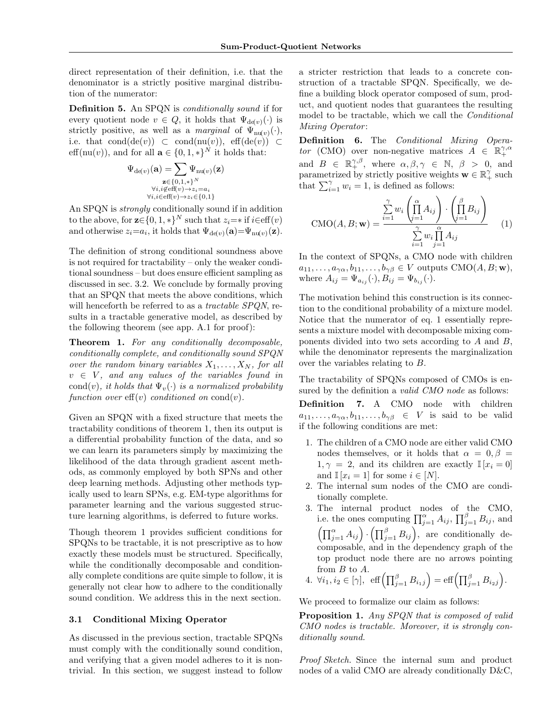direct representation of their definition, i.e. that the denominator is a strictly positive marginal distribution of the numerator:

Definition 5. An SPQN is *conditionally sound* if for every quotient node  $v \in Q$ , it holds that  $\Psi_{\text{de}(v)}(\cdot)$  is strictly positive, as well as a *marginal* of  $\Psi_{\text{nu}(v)}(\cdot)$ , i.e. that cond(de(*v*))  $\subset$  cond(nu(*v*)), eff(de(*v*))  $\subset$ eff(nu(*v*)), and for all  $\mathbf{a} \in \{0, 1, *\}^N$  it holds that:

$$
\Psi_{\mathrm{d} \epsilon(v)}(\mathbf{a}) = \sum_{\substack{\mathbf{z} \in \{0,1,\ast\}^N \\ \forall i,i \notin \mathrm{eff}(v) \rightarrow z_i = a_i \\ \forall i,i \in \mathrm{eff}(v) \rightarrow z_i \in \{0,1\}}}
$$

An SPQN is *strongly* conditionally sound if in addition to the above, for  $\mathbf{z} \in \{0, 1, *\}^N$  such that  $z_i = *$  if  $i \in \text{eff}(v)$ and otherwise  $z_i = a_i$ , it holds that  $\Psi_{\text{def}\,v}(\mathbf{a}) = \Psi_{\text{nuf}\,v}(\mathbf{z})$ .

The definition of strong conditional soundness above is not required for tractability – only the weaker conditional soundness – but does ensure efficient sampling as discussed in sec. [3.2.](#page-4-0) We conclude by formally proving that an SPQN that meets the above conditions, which will henceforth be referred to as a *tractable SPQN*, results in a tractable generative model, as described by the following theorem (see app. [A.1](#page-0-1) for proof):

<span id="page-3-0"></span>Theorem 1. *For any conditionally decomposable, conditionally complete, and conditionally sound SPQN over the random binary variables*  $X_1, \ldots, X_N$ *, for all*  $v \in V$ , and any values of the variables found in cond(*v*)*, it holds that*  $\Psi_v(\cdot)$  *is a normalized probability function over*  $\mathrm{eff}(v)$  *conditioned on* cond $(v)$ *.* 

Given an SPQN with a fixed structure that meets the tractability conditions of theorem [1,](#page-3-0) then its output is a differential probability function of the data, and so we can learn its parameters simply by maximizing the likelihood of the data through gradient ascent methods, as commonly employed by both SPNs and other deep learning methods. Adjusting other methods typically used to learn SPNs, e.g. EM-type algorithms for parameter learning and the various suggested structure learning algorithms, is deferred to future works.

Though theorem [1](#page-3-0) provides sufficient conditions for SPQNs to be tractable, it is not prescriptive as to how exactly these models must be structured. Specifically, while the conditionally decomposable and conditionally complete conditions are quite simple to follow, it is generally not clear how to adhere to the conditionally sound condition. We address this in the next section.

## 3.1 Conditional Mixing Operator

As discussed in the previous section, tractable SPQNs must comply with the conditionally sound condition, and verifying that a given model adheres to it is nontrivial. In this section, we suggest instead to follow

a stricter restriction that leads to a concrete construction of a tractable SPQN. Specifically, we define a building block operator composed of sum, product, and quotient nodes that guarantees the resulting model to be tractable, which we call the *Conditional Mixing Operator* :

Definition 6. The *Conditional Mixing Operator* (CMO) over non-negative matrices  $A \in \mathbb{R}_+^{\gamma, \alpha}$ and  $B \in \mathbb{R}^{\gamma,\beta}_+$ , where  $\alpha,\beta,\gamma \in \mathbb{N}, \beta > 0$ , and parametrized by strictly positive weights  $\mathbf{w} \in \mathbb{R}_+^{\gamma}$  such that  $\sum_{i=1}^{\gamma} w_i = 1$ , is defined as follows:

<span id="page-3-1"></span>
$$
\text{CMO}(A, B; \mathbf{w}) = \frac{\sum_{i=1}^{\gamma} w_i \left(\prod_{j=1}^{\alpha} A_{ij}\right) \cdot \left(\prod_{j=1}^{\beta} B_{ij}\right)}{\sum_{i=1}^{\gamma} w_i \prod_{j=1}^{\alpha} A_{ij}} \qquad (1)
$$

In the context of SPQNs, a CMO node with children  $a_{11}, \ldots, a_{\gamma\alpha}, b_{11}, \ldots, b_{\gamma\beta} \in V$  outputs CMO(*A*, *B*; **w**), where  $A_{ij} = \Psi_{a_{ij}}(\cdot), B_{ij} = \Psi_{b_{ij}}(\cdot)$ .

The motivation behind this construction is its connection to the conditional probability of a mixture model. Notice that the numerator of eq. [1](#page-3-1) essentially represents a mixture model with decomposable mixing components divided into two sets according to *A* and *B*, while the denominator represents the marginalization over the variables relating to *B*.

<span id="page-3-2"></span>The tractability of SPQNs composed of CMOs is ensured by the definition a *valid CMO node* as follows: Definition 7. A CMO node with children  $a_{11}, \ldots, a_{\gamma\alpha}, b_{11}, \ldots, b_{\gamma\beta} \in V$  is said to be valid if the following conditions are met:

- 1. The children of a CMO node are either valid CMO nodes themselves, or it holds that  $\alpha = 0, \beta =$  $1, \gamma = 2$ , and its children are exactly  $\mathbb{I}[x_i = 0]$ and  $\mathbb{I}[x_i = 1]$  for some  $i \in [N]$ .
- 2. The internal sum nodes of the CMO are conditionally complete.
- 3. The internal product nodes of the CMO, i.e. the ones computing  $\prod_{j=1}^{\alpha} A_{ij}$ ,  $\prod_{j=1}^{\beta} B_{ij}$ , and  $\left(\prod_{j=1}^{\alpha} A_{ij}\right) \cdot \left(\prod_{j=1}^{\beta} B_{ij}\right)$ , are conditionally decomposable, and in the dependency graph of the top product node there are no arrows pointing from *B* to *A*.
- 4.  $\forall i_1, i_2 \in [\gamma], \text{ eff}\left(\prod_{j=1}^{\beta} B_{i_1j}\right) = \text{eff}\left(\prod_{j=1}^{\beta} B_{i_2j}\right).$

We proceed to formalize our claim as follows:

Proposition 1. *Any SPQN that is composed of valid CMO nodes is tractable. Moreover, it is strongly conditionally sound.*

*Proof Sketch.* Since the internal sum and product nodes of a valid CMO are already conditionally D&C,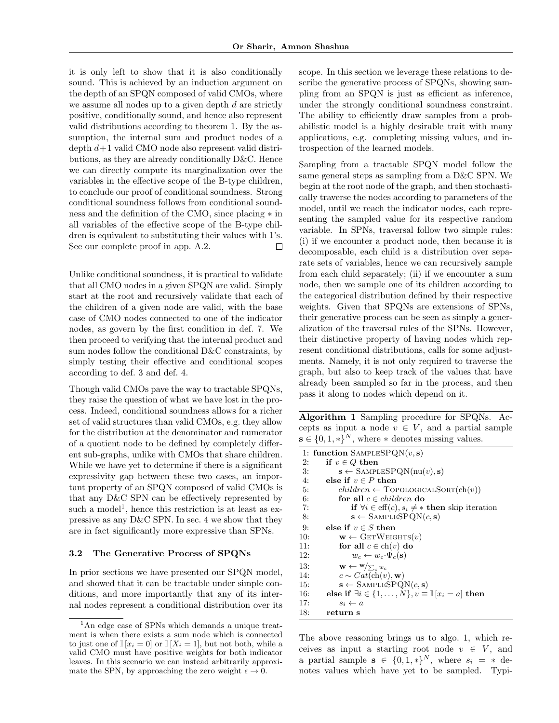it is only left to show that it is also conditionally sound. This is achieved by an induction argument on the depth of an SPQN composed of valid CMOs, where we assume all nodes up to a given depth *d* are strictly positive, conditionally sound, and hence also represent valid distributions according to theorem [1.](#page-3-0) By the assumption, the internal sum and product nodes of a depth *d*+1 valid CMO node also represent valid distributions, as they are already conditionally D&C. Hence we can directly compute its marginalization over the variables in the effective scope of the B-type children, to conclude our proof of conditional soundness. Strong conditional soundness follows from conditional soundness and the definition of the CMO, since placing  $*$  in all variables of the effective scope of the B-type children is equivalent to substituting their values with 1's. See our complete proof in app. [A.2.](#page-0-2)  $\Box$ 

Unlike conditional soundness, it is practical to validate that all CMO nodes in a given SPQN are valid. Simply start at the root and recursively validate that each of the children of a given node are valid, with the base case of CMO nodes connected to one of the indicator nodes, as govern by the first condition in def. [7.](#page-3-2) We then proceed to verifying that the internal product and sum nodes follow the conditional D&C constraints, by simply testing their effective and conditional scopes according to def. [3](#page-2-0) and def. [4.](#page-2-1)

Though valid CMOs pave the way to tractable SPQNs, they raise the question of what we have lost in the process. Indeed, conditional soundness allows for a richer set of valid structures than valid CMOs, e.g. they allow for the distribution at the denominator and numerator of a quotient node to be defined by completely different sub-graphs, unlike with CMOs that share children. While we have yet to determine if there is a significant expressivity gap between these two cases, an important property of an SPQN composed of valid CMOs is that any  $D&C$  SPN can be effectively represented by such a model<sup>[1](#page-4-1)</sup>, hence this restriction is at least as expressive as any D&C SPN. In sec. [4](#page-5-0) we show that they are in fact significantly more expressive than SPNs.

#### <span id="page-4-0"></span>3.2 The Generative Process of SPQNs

In prior sections we have presented our SPQN model, and showed that it can be tractable under simple conditions, and more importantly that any of its internal nodes represent a conditional distribution over its

scope. In this section we leverage these relations to describe the generative process of SPQNs, showing sampling from an SPQN is just as efficient as inference, under the strongly conditional soundness constraint. The ability to efficiently draw samples from a probabilistic model is a highly desirable trait with many applications, e.g. completing missing values, and introspection of the learned models.

Sampling from a tractable SPQN model follow the same general steps as sampling from a D&C SPN. We begin at the root node of the graph, and then stochastically traverse the nodes according to parameters of the model, until we reach the indicator nodes, each representing the sampled value for its respective random variable. In SPNs, traversal follow two simple rules: (i) if we encounter a product node, then because it is decomposable, each child is a distribution over separate sets of variables, hence we can recursively sample from each child separately; (ii) if we encounter a sum node, then we sample one of its children according to the categorical distribution defined by their respective weights. Given that SPQNs are extensions of SPNs, their generative process can be seen as simply a generalization of the traversal rules of the SPNs. However, their distinctive property of having nodes which represent conditional distributions, calls for some adjustments. Namely, it is not only required to traverse the graph, but also to keep track of the values that have already been sampled so far in the process, and then pass it along to nodes which depend on it.

Algorithm 1 Sampling procedure for SPQNs. Accepts as input a node  $v \in V$ , and a partial sample  $\mathbf{s} \in \{0, 1, *\}^N$ , where  $*$  denotes missing values.

```
1: function SampleSPQN(v, s)
 2: if v \in Q then<br>3: s \leftarrow \text{SAMPL}3: \mathbf{s} \leftarrow \text{SAMPLESPQN(nu(v), s)}<br>4: else if v \in P then
 4: else if v \in P then<br>5: children \leftarrow TOP
 5: children \leftarrow \text{TopoLOGICALSORT}(\text{ch}(v))<br>6: for all c \in children do
 6: for all c \in children do<br>7: if \forall i \in \text{eff}(c), s_i \neq *7: if \forall i \in \text{eff}(c), s_i \neq * then skip iteration<br>8: s \leftarrow SAMPLESPQN(c, s)
 8: \mathbf{s} \leftarrow \text{SAMPLESPQN}(c, \mathbf{s})<br>9: else if v \in S then
9: else if v \in S then<br>10: \mathbf{w} \leftarrow \text{GETWEG}10: \mathbf{w} \leftarrow \text{GETWEIGHTS}(v)<br>11: for all c \in \text{ch}(v) do
11: for all c \in \text{ch}(v) do<br>12: w_c \leftarrow w_c \cdot \Psi_c(\mathbf{s})12: w_c \leftarrow w_c \cdot \Psi_c(\mathbf{s})<br>13: \mathbf{w} \leftarrow \mathbf{w}/\sum_{a} w_c13: \mathbf{w} \leftarrow \mathbf{w}/\sum_{c} w_c14: c \sim Cat(\text{ch}(v), \mathbf{w})<br>15: \mathbf{s} \leftarrow \text{SAMPLESPQ}15: \mathbf{s} \leftarrow \text{SAMPLESPQN}(c, \mathbf{s})<br>16: else if \exists i \in \{1, ..., N\}, v \equiv16: else if \exists i \in \{1, \ldots, N\}, v \equiv \mathbb{I}[x_i = a] then 17: s_i \leftarrow a17: s_i \leftarrow a<br>18: returns
                return s
```
The above reasoning brings us to algo. [1,](#page-0-3) which receives as input a starting root node  $v \in V$ , and a partial sample  $s \in \{0, 1, *\}^N$ , where  $s_i = *$  denotes values which have yet to be sampled. Typi-

<span id="page-4-1"></span><sup>&</sup>lt;sup>1</sup>An edge case of SPNs which demands a unique treatment is when there exists a sum node which is connected to just one of  $\mathbb{I}[x_i = 0]$  or  $\mathbb{I}[X_i = 1]$ , but not both, while a valid CMO must have positive weights for both indicator leaves. In this scenario we can instead arbitrarily approximate the SPN, by approaching the zero weight  $\epsilon \to 0$ .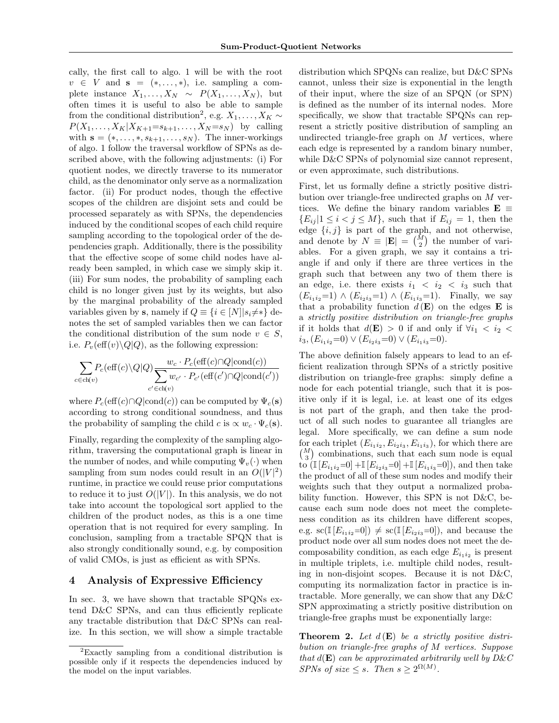cally, the first call to algo. [1](#page-0-3) will be with the root  $v \in V$  and  $s = (*, \ldots, *)$ , i.e. sampling a complete instance  $X_1, \ldots, X_N \sim P(X_1, \ldots, X_N)$ , but often times it is useful to also be able to sample from the conditional distribution<sup>[2](#page-5-1)</sup>, e.g.  $X_1, \ldots, X_K \sim$  $P(X_1, \ldots, X_K | X_{K+1} = s_{k+1}, \ldots, X_N = s_N)$  by calling with  $\mathbf{s} = (*, \ldots, *, s_{k+1}, \ldots, s_N)$ . The inner-workings of algo. [1](#page-0-3) follow the traversal workflow of SPNs as described above, with the following adjustments: (i) For quotient nodes, we directly traverse to its numerator child, as the denominator only serve as a normalization factor. (ii) For product nodes, though the effective scopes of the children are disjoint sets and could be processed separately as with SPNs, the dependencies induced by the conditional scopes of each child require sampling according to the topological order of the dependencies graph. Additionally, there is the possibility that the effective scope of some child nodes have already been sampled, in which case we simply skip it. (iii) For sum nodes, the probability of sampling each child is no longer given just by its weights, but also by the marginal probability of the already sampled variables given by **s**, namely if  $Q \equiv \{i \in [N] | s_i \neq * \}$  denotes the set of sampled variables then we can factor the conditional distribution of the sum node  $v \in S$ , i.e.  $P_v(\text{eff}(v) \setminus Q | Q)$ , as the following expression:

X *c*2ch(*v*) *<sup>P</sup>c*(e↵(*c*)*\Q|Q*)<sup>X</sup> *w<sup>c</sup> · Pc*(e↵(*c*)\*Q|*cond(*c*)) *c*02ch(*v*) *w<sup>c</sup>*<sup>0</sup> *· P<sup>c</sup>*<sup>0</sup> (e↵(*c*<sup>0</sup> )\*Q|*cond(*c*<sup>0</sup> ))

where  $P_c(\text{eff}(c) \cap Q | \text{cond}(c))$  can be computed by  $\Psi_c(\mathbf{s})$ according to strong conditional soundness, and thus the probability of sampling the child *c* is  $\propto w_c \cdot \Psi_c(\mathbf{s})$ .

Finally, regarding the complexity of the sampling algorithm, traversing the computational graph is linear in the number of nodes, and while computing  $\Psi_v(\cdot)$  when sampling from sum nodes could result in an  $O(|V|^2)$ runtime, in practice we could reuse prior computations to reduce it to just  $O(|V|)$ . In this analysis, we do not take into account the topological sort applied to the children of the product nodes, as this is a one time operation that is not required for every sampling. In conclusion, sampling from a tractable SPQN that is also strongly conditionally sound, e.g. by composition of valid CMOs, is just as efficient as with SPNs.

## <span id="page-5-0"></span>4 Analysis of Expressive Efficiency

In sec. [3,](#page-1-1) we have shown that tractable SPQNs extend  $D&C$  SPNs, and can thus efficiently replicate any tractable distribution that D&C SPNs can realize. In this section, we will show a simple tractable distribution which SPQNs can realize, but D&C SPNs cannot, unless their size is exponential in the length of their input, where the size of an SPQN (or SPN) is defined as the number of its internal nodes. More specifically, we show that tractable SPQNs can represent a strictly positive distribution of sampling an undirected triangle-free graph on *M* vertices, where each edge is represented by a random binary number, while D&C SPNs of polynomial size cannot represent, or even approximate, such distributions.

First, let us formally define a strictly positive distribution over triangle-free undirected graphs on *M* vertices. We define the binary random variables  $\mathbf{E} \equiv$  ${E_{ij} | 1 \le i \le j \le M}$ , such that if  $E_{ij} = 1$ , then the edge  $\{i, j\}$  is part of the graph, and not otherwise, and denote by  $N \equiv |\mathbf{E}| = \binom{M}{2}$  the number of variables. For a given graph, we say it contains a triangle if and only if there are three vertices in the graph such that between any two of them there is an edge, i.e. there exists  $i_1 < i_2 < i_3$  such that  $(E_{i_1 i_2}=1) \wedge (E_{i_2 i_3}=1) \wedge (E_{i_1 i_3}=1)$ . Finally, we say that a probability function  $d(\mathbf{E})$  on the edges **E** is a *strictly positive distribution on triangle-free graphs* if it holds that  $d(\mathbf{E}) > 0$  if and only if  $\forall i_1 < i_2$  $i_3$ ,  $(E_{i_1i_2}=0) \vee (E_{i_2i_3}=0) \vee (E_{i_1i_3}=0).$ 

The above definition falsely appears to lead to an efficient realization through SPNs of a strictly positive distribution on triangle-free graphs: simply define a node for each potential triangle, such that it is positive only if it is legal, i.e. at least one of its edges is not part of the graph, and then take the product of all such nodes to guarantee all triangles are legal. More specifically, we can define a sum node for each triplet  $(E_{i_1 i_2}, E_{i_2 i_3}, E_{i_1 i_3})$ , for which there are  $\binom{M}{3}$  combinations, such that each sum node is equal to  $(\mathbb{I}[E_{i_1i_2}=0]+\mathbb{I}[E_{i_2i_3}=0]+\mathbb{I}[E_{i_1i_3}=0])$ , and then take the product of all of these sum nodes and modify their weights such that they output a normalized probability function. However, this SPN is not D&C, because each sum node does not meet the completeness condition as its children have different scopes, e.g.  $\text{sc}(\mathbb{I}[E_{i_1i_2}=0]) \neq \text{sc}(\mathbb{I}[E_{i_2i_3}=0])$ , and because the product node over all sum nodes does not meet the decomposability condition, as each edge  $E_{i_1 i_2}$  is present in multiple triplets, i.e. multiple child nodes, resulting in non-disjoint scopes. Because it is not D&C, computing its normalization factor in practice is intractable. More generally, we can show that any D&C SPN approximating a strictly positive distribution on triangle-free graphs must be exponentially large:

Theorem 2. *Let d* (E) *be a strictly positive distribution on triangle-free graphs of M vertices. Suppose that*  $d(\mathbf{E})$  *can be approximated arbitrarily well by D&C SPNs of size*  $\leq$  *s. Then*  $s \geq 2^{\Omega(M)}$ *.* 

<span id="page-5-1"></span><sup>2</sup>Exactly sampling from a conditional distribution is possible only if it respects the dependencies induced by the model on the input variables.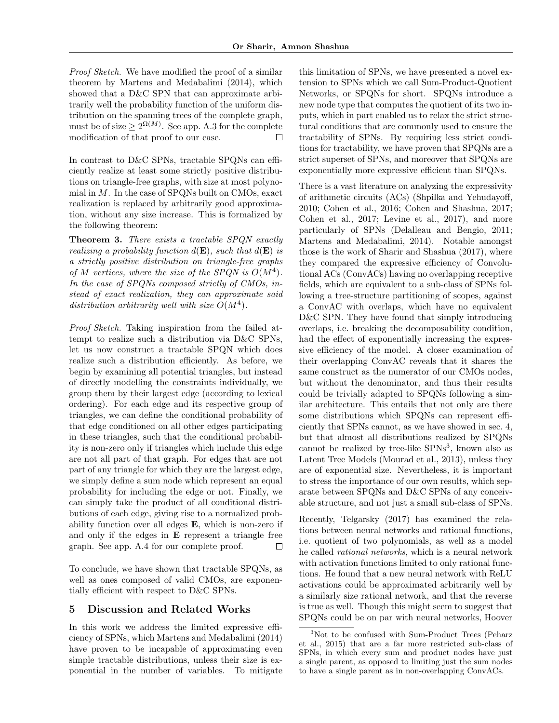*Proof Sketch.* We have modified the proof of a similar theorem by [Martens and Medabalimi](#page-8-9) [\(2014\)](#page-8-9), which showed that a D&C SPN that can approximate arbitrarily well the probability function of the uniform distribution on the spanning trees of the complete graph, must be of size  $\geq 2^{\Omega(M)}$ . See app. [A.3](#page-0-4) for the complete modification of that proof to our case.  $\Box$ 

In contrast to D&C SPNs, tractable SPQNs can efficiently realize at least some strictly positive distributions on triangle-free graphs, with size at most polynomial in *M*. In the case of SPQNs built on CMOs, exact realization is replaced by arbitrarily good approximation, without any size increase. This is formalized by the following theorem:

Theorem 3. *There exists a tractable SPQN exactly realizing a probability function*  $d(\mathbf{E})$ *, such that*  $d(\mathbf{E})$  *is a strictly positive distribution on triangle-free graphs of*  $M$  *vertices, where the size of the SPQN is*  $O(M^4)$ *. In the case of SPQNs composed strictly of CMOs, instead of exact realization, they can approximate said distribution arbitrarily well with size*  $O(M^4)$ *.* 

*Proof Sketch.* Taking inspiration from the failed attempt to realize such a distribution via D&C SPNs, let us now construct a tractable SPQN which does realize such a distribution efficiently. As before, we begin by examining all potential triangles, but instead of directly modelling the constraints individually, we group them by their largest edge (according to lexical ordering). For each edge and its respective group of triangles, we can define the conditional probability of that edge conditioned on all other edges participating in these triangles, such that the conditional probability is non-zero only if triangles which include this edge are not all part of that graph. For edges that are not part of any triangle for which they are the largest edge, we simply define a sum node which represent an equal probability for including the edge or not. Finally, we can simply take the product of all conditional distributions of each edge, giving rise to a normalized probability function over all edges E, which is non-zero if and only if the edges in E represent a triangle free graph. See app. [A.4](#page-0-5) for our complete proof.  $\Box$ 

To conclude, we have shown that tractable SPQNs, as well as ones composed of valid CMOs, are exponentially efficient with respect to D&C SPNs.

## <span id="page-6-0"></span>5 Discussion and Related Works

In this work we address the limited expressive efficiency of SPNs, which [Martens and Medabalimi](#page-8-9) [\(2014\)](#page-8-9) have proven to be incapable of approximating even simple tractable distributions, unless their size is exponential in the number of variables. To mitigate

this limitation of SPNs, we have presented a novel extension to SPNs which we call Sum-Product-Quotient Networks, or SPQNs for short. SPQNs introduce a new node type that computes the quotient of its two inputs, which in part enabled us to relax the strict structural conditions that are commonly used to ensure the tractability of SPNs. By requiring less strict conditions for tractability, we have proven that SPQNs are a strict superset of SPNs, and moreover that SPQNs are exponentially more expressive efficient than SPQNs.

There is a vast literature on analyzing the expressivity of arithmetic circuits (ACs) [\(Shpilka and Yehudayo](#page-8-1)ff, [2010;](#page-8-1) [Cohen et al., 2016;](#page-8-12) [Cohen and Shashua, 2017;](#page-8-13) [Cohen et al., 2017;](#page-8-14) [Levine et al., 2017\)](#page-8-15), and more particularly of SPNs [\(Delalleau and Bengio, 2011;](#page-8-16) [Martens and Medabalimi, 2014\)](#page-8-9). Notable amongst those is the work of [Sharir and Shashua](#page-8-17) [\(2017\)](#page-8-17), where they compared the expressive efficiency of Convolutional ACs (ConvACs) having no overlapping receptive fields, which are equivalent to a sub-class of SPNs following a tree-structure partitioning of scopes, against a ConvAC with overlaps, which have no equivalent D&C SPN. They have found that simply introducing overlaps, i.e. breaking the decomposability condition, had the effect of exponentially increasing the expressive efficiency of the model. A closer examination of their overlapping ConvAC reveals that it shares the same construct as the numerator of our CMOs nodes, but without the denominator, and thus their results could be trivially adapted to SPQNs following a similar architecture. This entails that not only are there some distributions which SPQNs can represent efficiently that SPNs cannot, as we have showed in sec. [4,](#page-5-0) but that almost all distributions realized by SPQNs cannot be realized by tree-like SPNs[3](#page-6-1), known also as Latent Tree Models [\(Mourad et al., 2013\)](#page-8-18), unless they are of exponential size. Nevertheless, it is important to stress the importance of our own results, which separate between SPQNs and D&C SPNs of any conceivable structure, and not just a small sub-class of SPNs.

Recently, [Telgarsky](#page-8-19) [\(2017\)](#page-8-19) has examined the relations between neural networks and rational functions, i.e. quotient of two polynomials, as well as a model he called *rational networks*, which is a neural network with activation functions limited to only rational functions. He found that a new neural network with ReLU activations could be approximated arbitrarily well by a similarly size rational network, and that the reverse is true as well. Though this might seem to suggest that SPQNs could be on par with neural networks, [Hoover](#page-8-10)

<span id="page-6-1"></span><sup>&</sup>lt;sup>3</sup>Not to be confused with Sum-Product Trees [\(Peharz](#page-8-11) [et al., 2015\)](#page-8-11) that are a far more restricted sub-class of SPNs, in which every sum and product nodes have just a single parent, as opposed to limiting just the sum nodes to have a single parent as in non-overlapping ConvACs.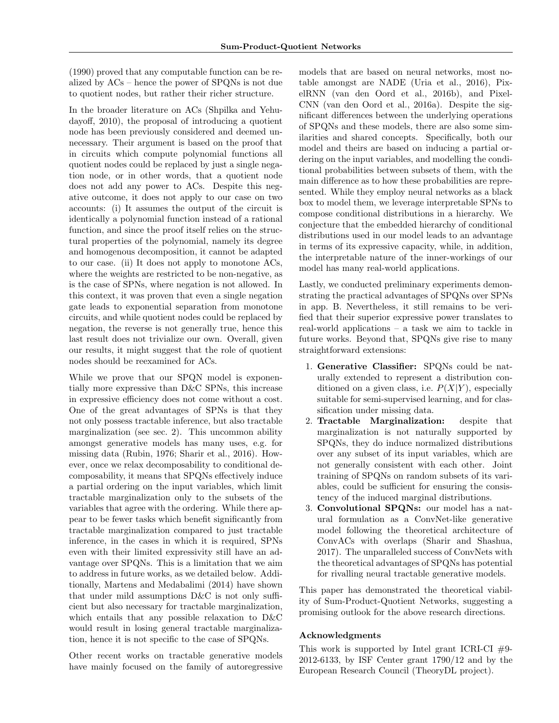[\(1990\)](#page-8-10) proved that any computable function can be realized by ACs – hence the power of SPQNs is not due to quotient nodes, but rather their richer structure.

In the broader literature on ACs [\(Shpilka and Yehu](#page-8-1)[dayo](#page-8-1)ff, [2010\)](#page-8-1), the proposal of introducing a quotient node has been previously considered and deemed unnecessary. Their argument is based on the proof that in circuits which compute polynomial functions all quotient nodes could be replaced by just a single negation node, or in other words, that a quotient node does not add any power to ACs. Despite this negative outcome, it does not apply to our case on two accounts: (i) It assumes the output of the circuit is identically a polynomial function instead of a rational function, and since the proof itself relies on the structural properties of the polynomial, namely its degree and homogenous decomposition, it cannot be adapted to our case. (ii) It does not apply to monotone ACs, where the weights are restricted to be non-negative, as is the case of SPNs, where negation is not allowed. In this context, it was proven that even a single negation gate leads to exponential separation from monotone circuits, and while quotient nodes could be replaced by negation, the reverse is not generally true, hence this last result does not trivialize our own. Overall, given our results, it might suggest that the role of quotient nodes should be reexamined for ACs.

While we prove that our SPQN model is exponentially more expressive than D&C SPNs, this increase in expressive efficiency does not come without a cost. One of the great advantages of SPNs is that they not only possess tractable inference, but also tractable marginalization (see sec. [2\)](#page-1-0). This uncommon ability amongst generative models has many uses, e.g. for missing data [\(Rubin, 1976;](#page-8-20) [Sharir et al., 2016\)](#page-8-5). However, once we relax decomposability to conditional decomposability, it means that SPQNs effectively induce a partial ordering on the input variables, which limit tractable marginalization only to the subsets of the variables that agree with the ordering. While there appear to be fewer tasks which benefit significantly from tractable marginalization compared to just tractable inference, in the cases in which it is required, SPNs even with their limited expressivity still have an advantage over SPQNs. This is a limitation that we aim to address in future works, as we detailed below. Additionally, [Martens and Medabalimi](#page-8-9) [\(2014\)](#page-8-9) have shown that under mild assumptions  $D\&C$  is not only sufficient but also necessary for tractable marginalization, which entails that any possible relaxation to D&C would result in losing general tractable marginalization, hence it is not specific to the case of SPQNs.

Other recent works on tractable generative models have mainly focused on the family of autoregressive

models that are based on neural networks, most notable amongst are NADE [\(Uria et al., 2016\)](#page-8-6), PixelRNN [\(van den Oord et al., 2016b\)](#page-8-7), and Pixel-CNN [\(van den Oord et al., 2016a\)](#page-8-21). Despite the significant differences between the underlying operations of SPQNs and these models, there are also some similarities and shared concepts. Specifically, both our model and theirs are based on inducing a partial ordering on the input variables, and modelling the conditional probabilities between subsets of them, with the main difference as to how these probabilities are represented. While they employ neural networks as a black box to model them, we leverage interpretable SPNs to compose conditional distributions in a hierarchy. We conjecture that the embedded hierarchy of conditional distributions used in our model leads to an advantage in terms of its expressive capacity, while, in addition, the interpretable nature of the inner-workings of our model has many real-world applications.

Lastly, we conducted preliminary experiments demonstrating the practical advantages of SPQNs over SPNs in app. [B.](#page-0-6) Nevertheless, it still remains to be verified that their superior expressive power translates to real-world applications – a task we aim to tackle in future works. Beyond that, SPQNs give rise to many straightforward extensions:

- 1. Generative Classifier: SPQNs could be naturally extended to represent a distribution conditioned on a given class, i.e.  $P(X|Y)$ , especially suitable for semi-supervised learning, and for classification under missing data.
- 2. Tractable Marginalization: despite that marginalization is not naturally supported by SPQNs, they do induce normalized distributions over any subset of its input variables, which are not generally consistent with each other. Joint training of SPQNs on random subsets of its variables, could be sufficient for ensuring the consistency of the induced marginal distributions.
- 3. Convolutional SPQNs: our model has a natural formulation as a ConvNet-like generative model following the theoretical architecture of ConvACs with overlaps [\(Sharir and Shashua,](#page-8-17) [2017\)](#page-8-17). The unparalleled success of ConvNets with the theoretical advantages of SPQNs has potential for rivalling neural tractable generative models.

This paper has demonstrated the theoretical viability of Sum-Product-Quotient Networks, suggesting a promising outlook for the above research directions.

### Acknowledgments

This work is supported by Intel grant ICRI-CI  $#9$ -2012-6133, by ISF Center grant 1790/12 and by the European Research Council (TheoryDL project).